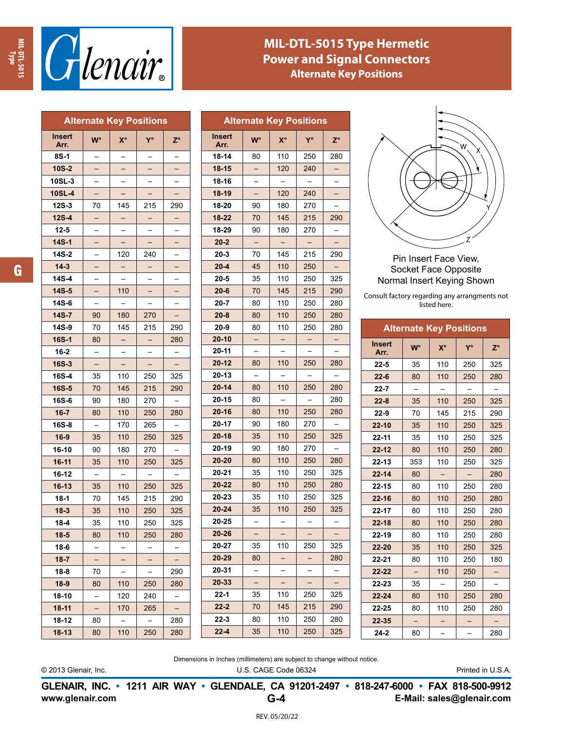



## **MIL-DTL-5015 Type Hermetic Power and Signal Connectors Alternate Key Positions**

| <b>Alternate Key Positions</b> |                |                          |                          |             |  |
|--------------------------------|----------------|--------------------------|--------------------------|-------------|--|
| Insert<br>Arr.                 | W°             | $X^{\circ}$              | Y°                       | $Z^{\circ}$ |  |
| 8S-1                           |                |                          |                          |             |  |
| $10S-2$                        |                |                          |                          |             |  |
| 10SL-3                         |                |                          |                          |             |  |
| <b>10SL-4</b>                  | —              |                          |                          |             |  |
| $12S-3$                        | 70             | 145                      | 215                      | 290         |  |
| $12S-4$                        | Ξ              |                          |                          |             |  |
| $12 - 5$                       |                |                          |                          |             |  |
| 14S-1                          |                |                          |                          |             |  |
| 14S-2                          |                | 120                      | 240                      |             |  |
| $14 - 3$                       | Γ              |                          |                          |             |  |
| 14S-4                          |                |                          |                          |             |  |
| $14S - 5$                      |                | 110                      |                          |             |  |
| 14S-6                          |                |                          |                          |             |  |
| 14S-7                          | 90             | 180                      | 270                      | —           |  |
| 14S-9                          | 70             | 145                      | 215                      | 290         |  |
| 16S-1                          | 80             |                          |                          | 280         |  |
| $16 - 2$                       |                |                          |                          |             |  |
| $16S-3$                        |                |                          |                          |             |  |
| 16S-4                          | 35             | 110                      | 250                      | 325         |  |
| 16S-5                          | 70             | 145                      | 215                      | 290         |  |
| 16S-6                          | 90             | 180                      | 270                      |             |  |
| $16 - 7$                       | 80             | 110                      | 250                      | 280         |  |
| 16S-8                          | $\overline{a}$ | 170                      | 265                      |             |  |
| $16 - 9$                       | 35             | 110                      | 250                      | 325         |  |
| 16-10                          | 90             | 180                      | 270                      |             |  |
| $16-11$                        | 35             | 110                      | 250                      | 325         |  |
| 16-12                          |                |                          |                          |             |  |
| $16 - 13$                      | 35             | 110                      | 250                      | 325         |  |
| $18-1$                         | 70             | 145                      | 215                      | 290         |  |
| $18 - 3$                       | 35             | 110                      | 250                      | 325         |  |
| $18 - 4$                       | 35             | 110                      | 250                      | 325         |  |
| $18 - 5$                       | 80             | 110                      | 250                      | 280         |  |
| 18-6                           |                |                          |                          |             |  |
| $18 - 7$                       |                |                          |                          |             |  |
| $18 - 8$                       | 70             |                          |                          | 290         |  |
| $18-9$                         | 80             | 110                      | 250                      | 280         |  |
| 18-10                          |                | 120                      | 240                      |             |  |
| $18 - 11$                      | $\overline{a}$ | 170                      | 265                      |             |  |
| 18-12                          | 80             | $\overline{\phantom{0}}$ | $\overline{\phantom{0}}$ | 280         |  |
| 18-13                          | 80             | 110                      | 250                      | 280         |  |

| <b>Alternate Key Positions</b> |                          |             |     |             |  |  |
|--------------------------------|--------------------------|-------------|-----|-------------|--|--|
| Insert<br>Arr.                 | <b>W°</b>                | $X^{\circ}$ | Y°  | $Z^{\circ}$ |  |  |
| 18-14                          | 80                       | 110         | 250 | 280         |  |  |
| $18 - 15$                      |                          | 120         | 240 |             |  |  |
| 18-16                          |                          |             |     |             |  |  |
| $18 - 19$                      |                          | 120         | 240 |             |  |  |
| 18-20                          | 90                       | 180         | 270 |             |  |  |
| 18-22                          | 70                       | 145         | 215 | 290         |  |  |
| 18-29                          | 90                       | 180         | 270 |             |  |  |
| $20 - 2$                       | $\overline{\phantom{0}}$ |             |     |             |  |  |
| $20 - 3$                       | 70                       | 145         | 215 | 290         |  |  |
| $20 - 4$                       | 45                       | 110         | 250 |             |  |  |
| $20 - 5$                       | 35                       | 110         | 250 | 325         |  |  |
| $20 - 6$                       | 70                       | 145         | 215 | 290         |  |  |
| $20 - 7$                       | 80                       | 110         | 250 | 280         |  |  |
| $20 - 8$                       | 80                       | 110         | 250 | 280         |  |  |
| $20-9$                         | 80                       | 110         | 250 | 280         |  |  |
| $20 - 10$                      |                          |             |     |             |  |  |
| 20-11                          |                          |             |     |             |  |  |
| $20 - 12$                      | 80                       | 110         | 250 | 280         |  |  |
| 20-13                          |                          |             |     |             |  |  |
| $20 - 14$                      | 80                       | 110         | 250 | 280         |  |  |
| 20-15                          | 80                       |             |     | 280         |  |  |
| $20 - 16$                      | 80                       | 110         | 250 | 280         |  |  |
| 20-17                          | 90                       | 180         | 270 |             |  |  |
| $20 - 18$                      | 35                       | 110         | 250 | 325         |  |  |
| 20-19                          | 90                       | 180         | 270 |             |  |  |
| $20 - 20$                      | 80                       | 110         | 250 | 280         |  |  |
| 20-21                          | 35                       | 110         | 250 | 325         |  |  |
| 20-22                          | 80                       | 110         | 250 | 280         |  |  |
| 20-23                          | 35                       | 110         | 250 | 325         |  |  |
| $20 - 24$                      | 35                       | 110         | 250 | 325         |  |  |
| 20-25                          |                          |             |     |             |  |  |
| 20-26                          |                          |             |     |             |  |  |
| 20-27                          | 35                       | 110         | 250 | 325         |  |  |
| 20-29                          | 80                       |             |     | 280         |  |  |
| 20-31                          |                          |             |     |             |  |  |
| 20-33                          |                          |             |     |             |  |  |
| 22-1                           | 35                       | 110         | 250 | 325         |  |  |
| $22 - 2$                       | 70                       | 145         | 215 | 290         |  |  |
| 22-3                           | 80                       | 110         | 250 | 280         |  |  |
| $22 - 4$                       | 35                       | 110         | 250 | 325         |  |  |



Pin Insert Face View, Socket Face Opposite Normal Insert Keying Shown

Consult factory regarding any arrangments not listed here.

| <b>Alternate Key Positions</b> |           |     |     |             |  |
|--------------------------------|-----------|-----|-----|-------------|--|
| <b>Insert</b><br>Arr.          | <b>W°</b> | X°  | Y°  | $Z^{\circ}$ |  |
| $22 - 5$                       | 35        | 110 | 250 | 325         |  |
| $22 - 6$                       | 80        | 110 | 250 | 280         |  |
| $22 - 7$                       |           |     |     |             |  |
| $22 - 8$                       | 35        | 110 | 250 | 325         |  |
| $22-9$                         | 70        | 145 | 215 | 290         |  |
| $22 - 10$                      | 35        | 110 | 250 | 325         |  |
| 22-11                          | 35        | 110 | 250 | 325         |  |
| $22 - 12$                      | 80        | 110 | 250 | 280         |  |
| $22 - 13$                      | 353       | 110 | 250 | 325         |  |
| $22 - 14$                      | 80        |     |     | 280         |  |
| $22 - 15$                      | 80        | 110 | 250 | 280         |  |
| $22 - 16$                      | 80        | 110 | 250 | 280         |  |
| $22 - 17$                      | 80        | 110 | 250 | 280         |  |
| $22 - 18$                      | 80        | 110 | 250 | 280         |  |
| 22-19                          | 80        | 110 | 250 | 280         |  |
| $22 - 20$                      | 35        | 110 | 250 | 325         |  |
| 22-21                          | 80        | 110 | 250 | 180         |  |
| $22 - 22$                      |           | 110 | 250 |             |  |
| 22-23                          | 35        |     | 250 |             |  |
| $22 - 24$                      | 80        | 110 | 250 | 280         |  |
| $22 - 25$                      | 80        | 110 | 250 | 280         |  |
| $22 - 35$                      |           |     |     |             |  |
| $24-2$                         | 80        |     |     | 280         |  |

Dimensions in Inches (millimeters) are subject to change without notice.

© 2013 Glenair, Inc. U.S. CAGE Code 06324 Printed in U.S.A.

**www.glenair.com E-Mail: sales@glenair.com GLENAIR, INC. • 1211 AIR WAY • GLENDALE, CA 91201-2497 • 818-247-6000 • FAX 818-500-9912 G-4**